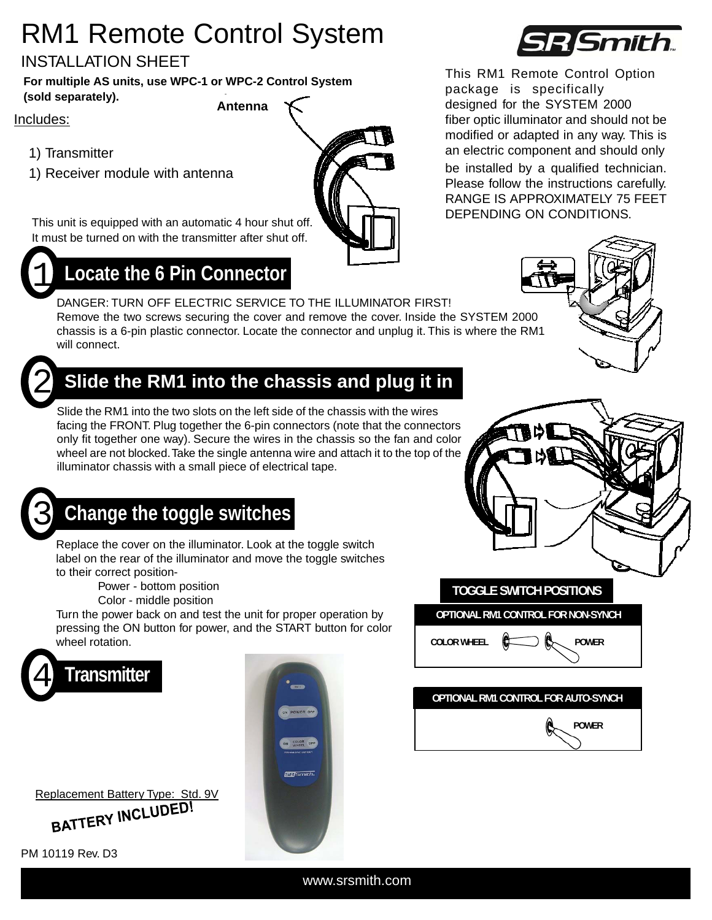# RM1 Remote Control System

#### INSTALLATION SHEET

**Antenna For multiple AS units, use WPC-1 or WPC-2 Control System (sold separately).** 

Includes:

- 1) Transmitter
- 

This unit is equipped with an automatic 4 hour shut off. It must be turned on with the transmitter after shut off.



#### 1 **Locate the 6 Pin Connector**

DANGER: TURN OFF ELECTRIC SERVICE TO THE ILLUMINATOR FIRST! Remove the two screws securing the cover and remove the cover. Inside the SYSTEM 2000 chassis is a 6-pin plastic connector. Locate the connector and unplug it. This is where the RM1 will connect.



### **Slide the RM1 into the chassis and plug it in**

Slide the RM1 into the two slots on the left side of the chassis with the wires facing the FRONT. Plug together the 6-pin connectors (note that the connectors only fit together one way). Secure the wires in the chassis so the fan and color wheel are not blocked. Take the single antenna wire and attach it to the top of the illuminator chassis with a small piece of electrical tape.

## 3 **Change the toggle switches**

Replace the cover on the illuminator. Look at the toggle switch label on the rear of the illuminator and move the toggle switches to their correct position-

Power - bottom position

Color - middle position

Turn the power back on and test the unit for proper operation by pressing the ON button for power, and the START button for color wheel rotation.



| Replacement Battery Type: Std. 9V |  |
|-----------------------------------|--|
| BATTERY INCLUDED!                 |  |

PM 10119 Rev. D3







This RM1 Remote Control Option package is specifically designed for the SYSTEM 2000 fiber optic illuminator and should not be modified or adapted in any way. This is an electric component and should only 1) Receiver module with antenna be installed by a qualified technician. Please follow the instructions carefully.

> RANGE IS APPROXIMATELY 75 FEET DEPENDING ON CONDITIONS.



www.srsmith.com